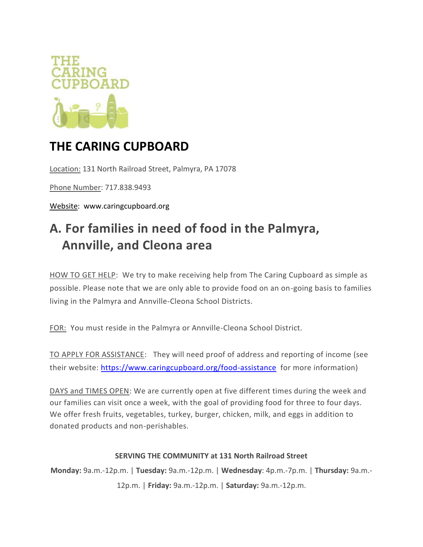

## **THE CARING CUPBOARD**

Location: 131 North Railroad Street, Palmyra, PA 17078

Phone Number: 717.838.9493

Website: www.caringcupboard.org

# **A. For families in need of food in the Palmyra, Annville, and Cleona area**

HOW TO GET HELP: We try to make receiving help from The Caring Cupboard as simple as possible. Please note that we are only able to provide food on an on-going basis to families living in the Palmyra and Annville-Cleona School Districts.

FOR: You must reside in the Palmyra or Annville-Cleona School District.

TO APPLY FOR ASSISTANCE: They will need proof of address and reporting of income (see their website:<https://www.caringcupboard.org/food-assistance>for more information)

DAYS and TIMES OPEN: We are currently open at five different times during the week and our families can visit once a week, with the goal of providing food for three to four days. We offer fresh fruits, vegetables, turkey, burger, chicken, milk, and eggs in addition to donated products and non-perishables.

#### **SERVING THE COMMUNITY at 131 North Railroad Street**

**Monday:** 9a.m.-12p.m. | **Tuesday:** 9a.m.-12p.m. | **Wednesday**: 4p.m.-7p.m. | **Thursday:** 9a.m.- 12p.m. | **Friday:** 9a.m.-12p.m. | **Saturday:** 9a.m.-12p.m.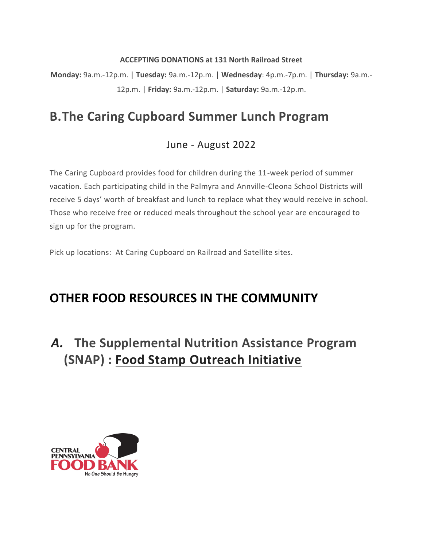#### **ACCEPTING DONATIONS at 131 North Railroad Street**

**Monday:** 9a.m.-12p.m. | **Tuesday:** 9a.m.-12p.m. | **Wednesday**: 4p.m.-7p.m. | **Thursday:** 9a.m.- 12p.m. | **Friday:** 9a.m.-12p.m. | **Saturday:** 9a.m.-12p.m.

## **B.The Caring Cupboard Summer Lunch Program**

#### June - August 2022

The Caring Cupboard provides food for children during the 11-week period of summer vacation. Each participating child in the Palmyra and Annville-Cleona School Districts will receive 5 days' worth of breakfast and lunch to replace what they would receive in school. Those who receive free or reduced meals throughout the school year are encouraged to sign up for the program.

Pick up locations: At Caring Cupboard on Railroad and Satellite sites.

## **OTHER FOOD RESOURCES IN THE COMMUNITY**

*A.* **The Supplemental Nutrition Assistance Program (SNAP) : Food Stamp Outreach Initiative**